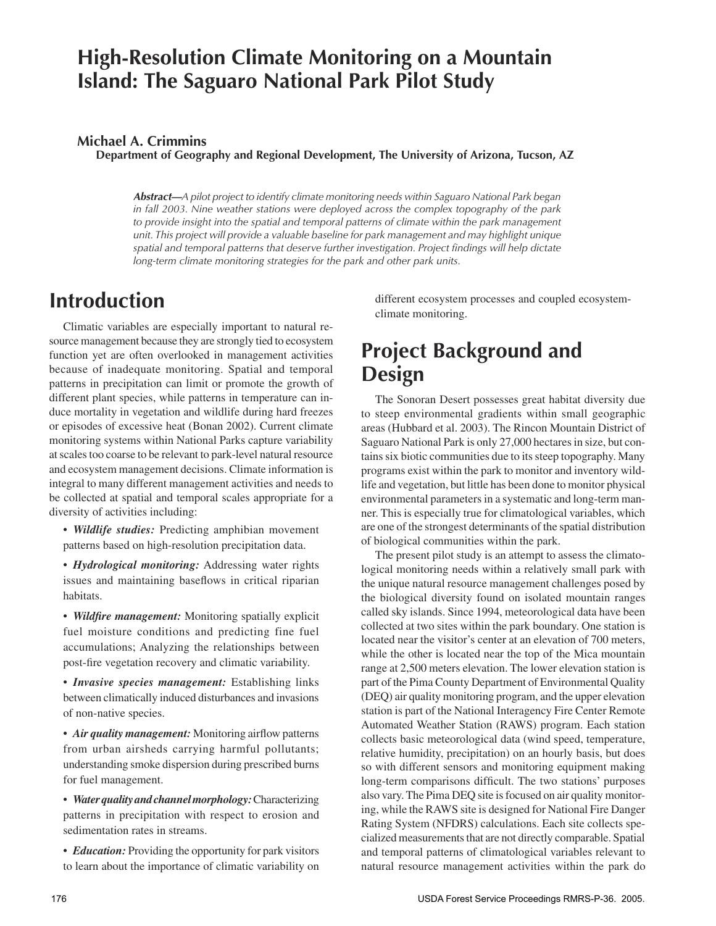### **High-Resolution Climate Monitoring on a Mountain Island: The Saguaro National Park Pilot Study**

#### **Michael A. Crimmins**

**Department of Geography and Regional Development, The University of Arizona, Tucson, AZ**

**Abstract—***A pilot project to identify climate monitoring needs within Saguaro National Park began in fall 2003. Nine weather stations were deployed across the complex topography of the park*  to provide insight into the spatial and temporal patterns of climate within the park management *unit. This project will provide a valuable baseline for park management and may highlight unique spatial and temporal patterns that deserve further investigation. Project findings will help dictate long-term climate monitoring strategies for the park and other park units.*

#### **Introduction**

Climatic variables are especially important to natural resource management because they are strongly tied to ecosystem function yet are often overlooked in management activities because of inadequate monitoring. Spatial and temporal patterns in precipitation can limit or promote the growth of different plant species, while patterns in temperature can induce mortality in vegetation and wildlife during hard freezes or episodes of excessive heat (Bonan 2002). Current climate monitoring systems within National Parks capture variability at scales too coarse to be relevant to park-level natural resource and ecosystem management decisions. Climate information is integral to many different management activities and needs to be collected at spatial and temporal scales appropriate for a diversity of activities including:

• *Wildlife studies:* Predicting amphibian movement patterns based on high-resolution precipitation data.

• *Hydrological monitoring:* Addressing water rights issues and maintaining baseflows in critical riparian habitats.

• *Wildfire management:* Monitoring spatially explicit fuel moisture conditions and predicting fine fuel accumulations; Analyzing the relationships between post-fire vegetation recovery and climatic variability.

• *Invasive species management:* Establishing links between climatically induced disturbances and invasions of non-native species.

• *Air quality management:* Monitoring airflow patterns from urban airsheds carrying harmful pollutants; understanding smoke dispersion during prescribed burns for fuel management.

• *Water quality and channel morphology:* Characterizing patterns in precipitation with respect to erosion and sedimentation rates in streams.

• *Education:* Providing the opportunity for park visitors to learn about the importance of climatic variability on different ecosystem processes and coupled ecosystemclimate monitoring.

# **Project Background and Design**

The Sonoran Desert possesses great habitat diversity due to steep environmental gradients within small geographic areas (Hubbard et al. 2003). The Rincon Mountain District of Saguaro National Park is only 27,000 hectares in size, but contains six biotic communities due to its steep topography. Many programs exist within the park to monitor and inventory wildlife and vegetation, but little has been done to monitor physical environmental parameters in a systematic and long-term manner. This is especially true for climatological variables, which are one of the strongest determinants of the spatial distribution of biological communities within the park.

The present pilot study is an attempt to assess the climatological monitoring needs within a relatively small park with the unique natural resource management challenges posed by the biological diversity found on isolated mountain ranges called sky islands. Since 1994, meteorological data have been collected at two sites within the park boundary. One station is located near the visitor's center at an elevation of 700 meters, while the other is located near the top of the Mica mountain range at 2,500 meters elevation. The lower elevation station is part of the Pima County Department of Environmental Quality (DEQ) air quality monitoring program, and the upper elevation station is part of the National Interagency Fire Center Remote Automated Weather Station (RAWS) program. Each station collects basic meteorological data (wind speed, temperature, relative humidity, precipitation) on an hourly basis, but does so with different sensors and monitoring equipment making long-term comparisons difficult. The two stations' purposes also vary. The Pima DEQ site is focused on air quality monitoring, while the RAWS site is designed for National Fire Danger Rating System (NFDRS) calculations. Each site collects specialized measurements that are not directly comparable. Spatial and temporal patterns of climatological variables relevant to natural resource management activities within the park do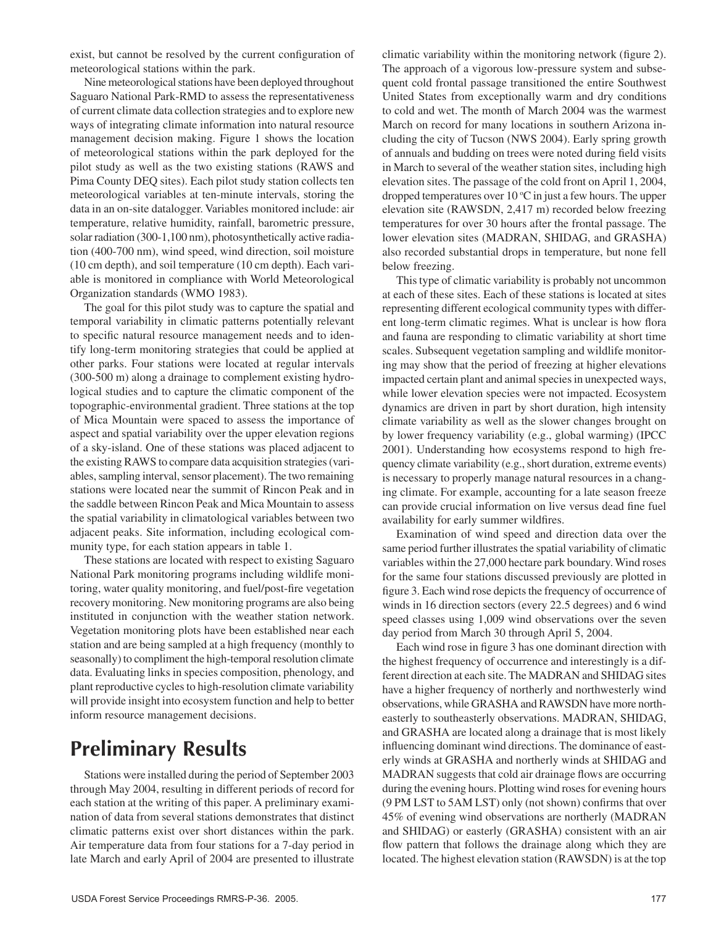exist, but cannot be resolved by the current configuration of meteorological stations within the park.

Nine meteorological stations have been deployed throughout Saguaro National Park-RMD to assess the representativeness of current climate data collection strategies and to explore new ways of integrating climate information into natural resource management decision making. Figure 1 shows the location of meteorological stations within the park deployed for the pilot study as well as the two existing stations (RAWS and Pima County DEQ sites). Each pilot study station collects ten meteorological variables at ten-minute intervals, storing the data in an on-site datalogger. Variables monitored include: air temperature, relative humidity, rainfall, barometric pressure, solar radiation (300-1,100 nm), photosynthetically active radiation (400-700 nm), wind speed, wind direction, soil moisture (10 cm depth), and soil temperature (10 cm depth). Each variable is monitored in compliance with World Meteorological Organization standards (WMO 1983).

The goal for this pilot study was to capture the spatial and temporal variability in climatic patterns potentially relevant to specific natural resource management needs and to identify long-term monitoring strategies that could be applied at other parks. Four stations were located at regular intervals (300-500 m) along a drainage to complement existing hydrological studies and to capture the climatic component of the topographic-environmental gradient. Three stations at the top of Mica Mountain were spaced to assess the importance of aspect and spatial variability over the upper elevation regions of a sky-island. One of these stations was placed adjacent to the existing RAWS to compare data acquisition strategies (variables, sampling interval, sensor placement). The two remaining stations were located near the summit of Rincon Peak and in the saddle between Rincon Peak and Mica Mountain to assess the spatial variability in climatological variables between two adjacent peaks. Site information, including ecological community type, for each station appears in table 1.

These stations are located with respect to existing Saguaro National Park monitoring programs including wildlife monitoring, water quality monitoring, and fuel/post-fire vegetation recovery monitoring. New monitoring programs are also being instituted in conjunction with the weather station network. Vegetation monitoring plots have been established near each station and are being sampled at a high frequency (monthly to seasonally) to compliment the high-temporal resolution climate data. Evaluating links in species composition, phenology, and plant reproductive cycles to high-resolution climate variability will provide insight into ecosystem function and help to better inform resource management decisions.

# **Preliminary Results**

Stations were installed during the period of September 2003 through May 2004, resulting in different periods of record for each station at the writing of this paper. A preliminary examination of data from several stations demonstrates that distinct climatic patterns exist over short distances within the park. Air temperature data from four stations for a 7-day period in late March and early April of 2004 are presented to illustrate climatic variability within the monitoring network (figure 2). The approach of a vigorous low-pressure system and subsequent cold frontal passage transitioned the entire Southwest United States from exceptionally warm and dry conditions to cold and wet. The month of March 2004 was the warmest March on record for many locations in southern Arizona including the city of Tucson (NWS 2004). Early spring growth of annuals and budding on trees were noted during field visits in March to several of the weather station sites, including high elevation sites. The passage of the cold front on April 1, 2004, dropped temperatures over  $10^{\circ}$ C in just a few hours. The upper elevation site (RAWSDN, 2,417 m) recorded below freezing temperatures for over 30 hours after the frontal passage. The lower elevation sites (MADRAN, SHIDAG, and GRASHA) also recorded substantial drops in temperature, but none fell below freezing.

This type of climatic variability is probably not uncommon at each of these sites. Each of these stations is located at sites representing different ecological community types with different long-term climatic regimes. What is unclear is how flora and fauna are responding to climatic variability at short time scales. Subsequent vegetation sampling and wildlife monitoring may show that the period of freezing at higher elevations impacted certain plant and animal species in unexpected ways, while lower elevation species were not impacted. Ecosystem dynamics are driven in part by short duration, high intensity climate variability as well as the slower changes brought on by lower frequency variability (e.g., global warming) (IPCC 2001). Understanding how ecosystems respond to high frequency climate variability (e.g., short duration, extreme events) is necessary to properly manage natural resources in a changing climate. For example, accounting for a late season freeze can provide crucial information on live versus dead fine fuel availability for early summer wildfires.

Examination of wind speed and direction data over the same period further illustrates the spatial variability of climatic variables within the 27,000 hectare park boundary. Wind roses for the same four stations discussed previously are plotted in figure 3. Each wind rose depicts the frequency of occurrence of winds in 16 direction sectors (every 22.5 degrees) and 6 wind speed classes using 1,009 wind observations over the seven day period from March 30 through April 5, 2004.

Each wind rose in figure 3 has one dominant direction with the highest frequency of occurrence and interestingly is a different direction at each site. The MADRAN and SHIDAG sites have a higher frequency of northerly and northwesterly wind observations, while GRASHA and RAWSDN have more northeasterly to southeasterly observations. MADRAN, SHIDAG, and GRASHA are located along a drainage that is most likely influencing dominant wind directions. The dominance of easterly winds at GRASHA and northerly winds at SHIDAG and MADRAN suggests that cold air drainage flows are occurring during the evening hours. Plotting wind roses for evening hours (9 PM LST to 5AM LST) only (not shown) confirms that over 45% of evening wind observations are northerly (MADRAN and SHIDAG) or easterly (GRASHA) consistent with an air flow pattern that follows the drainage along which they are located. The highest elevation station (RAWSDN) is at the top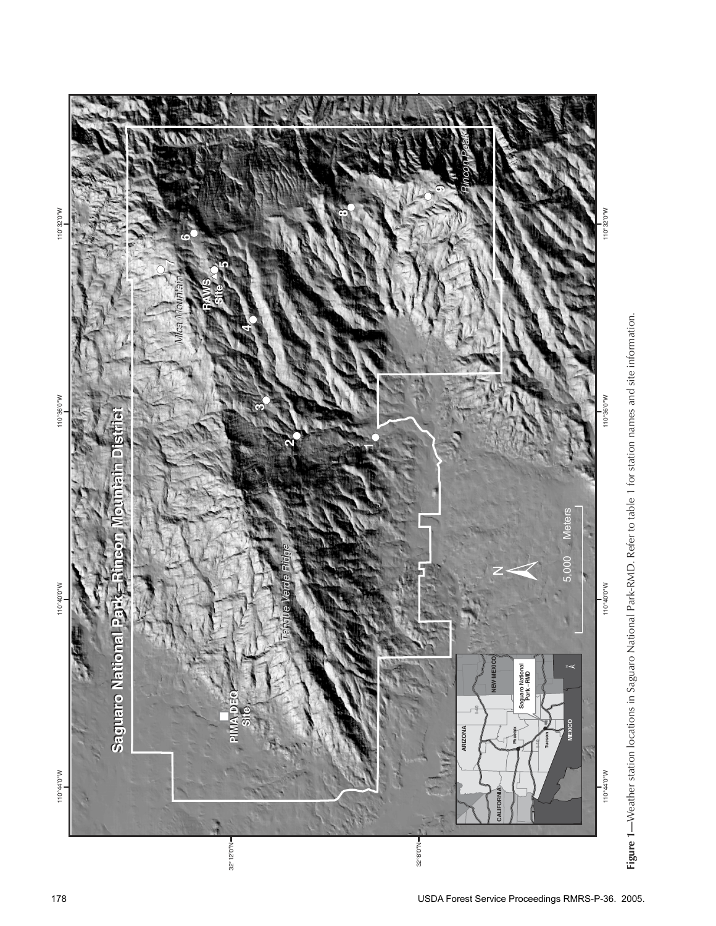

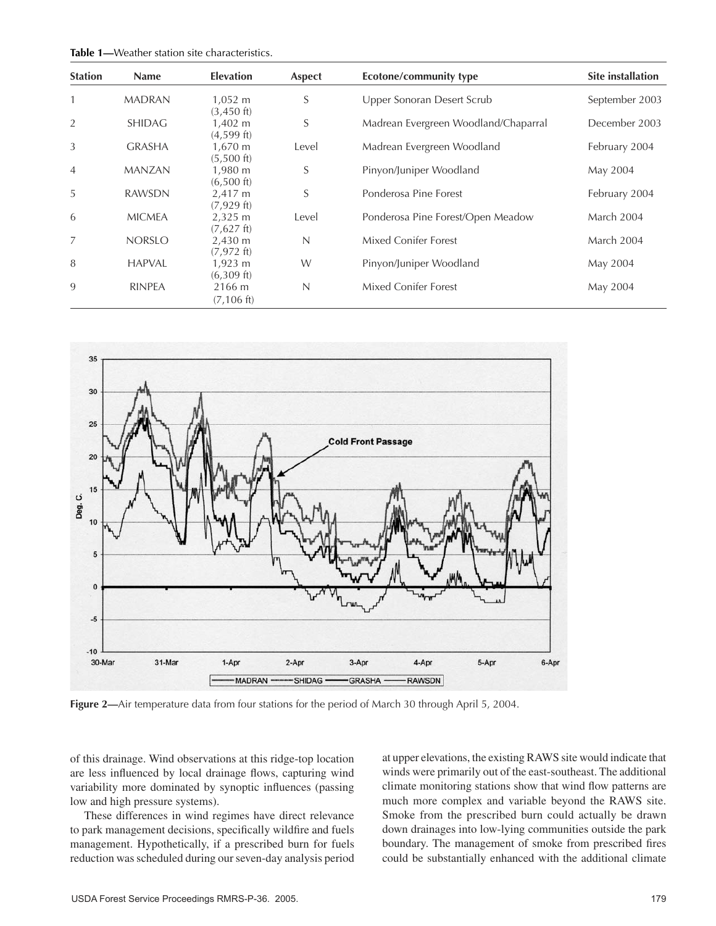| <b>Station</b> | <b>Name</b>   | <b>Elevation</b>                       | Aspect | Ecotone/community type               | <b>Site installation</b> |
|----------------|---------------|----------------------------------------|--------|--------------------------------------|--------------------------|
| $\mathbf{1}$   | <b>MADRAN</b> | $1,052 \; m$<br>$(3,450)$ ft)          | S      | Upper Sonoran Desert Scrub           | September 2003           |
| 2              | <b>SHIDAG</b> | 1,402 m<br>$(4,599)$ ft)               | S      | Madrean Evergreen Woodland/Chaparral | December 2003            |
| 3              | <b>GRASHA</b> | 1,670 m<br>$(5,500)$ ft)               | Level  | Madrean Evergreen Woodland           | February 2004            |
| $\overline{4}$ | <b>MANZAN</b> | 1,980 m<br>$(6,500)$ ft)               | S      | Pinyon/Juniper Woodland              | May 2004                 |
| 5              | <b>RAWSDN</b> | 2,417 m<br>$(7,929)$ ft)               | S      | Ponderosa Pine Forest                | February 2004            |
| 6              | <b>MICMEA</b> | $2,325 \; \text{m}$<br>$(7,627)$ ft)   | Level  | Ponderosa Pine Forest/Open Meadow    | March 2004               |
| 7              | <b>NORSLO</b> | $2,430 \; \text{m}$<br>$(7,972$ ft)    | N      | Mixed Conifer Forest                 | March 2004               |
| 8              | <b>HAPVAL</b> | $1,923 \; \mathrm{m}$<br>$(6,309)$ ft) | W      | Pinyon/Juniper Woodland              | May 2004                 |
| 9              | <b>RINPEA</b> | 2166 m<br>$(7, 106 \text{ ft})$        | N      | <b>Mixed Conifer Forest</b>          | May 2004                 |



**Figure 2—**Air temperature data from four stations for the period of March 30 through April 5, 2004.

of this drainage. Wind observations at this ridge-top location are less influenced by local drainage flows, capturing wind variability more dominated by synoptic influences (passing low and high pressure systems).

These differences in wind regimes have direct relevance to park management decisions, specifically wildfire and fuels management. Hypothetically, if a prescribed burn for fuels reduction was scheduled during our seven-day analysis period at upper elevations, the existing RAWS site would indicate that winds were primarily out of the east-southeast. The additional climate monitoring stations show that wind flow patterns are much more complex and variable beyond the RAWS site. Smoke from the prescribed burn could actually be drawn down drainages into low-lying communities outside the park boundary. The management of smoke from prescribed fires could be substantially enhanced with the additional climate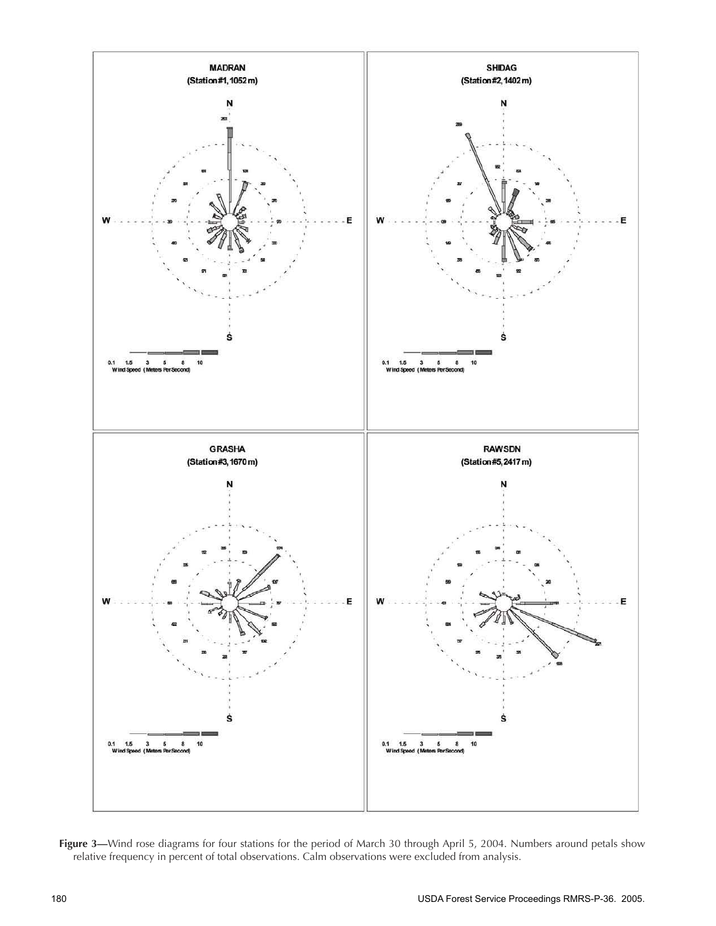

**Figure 3—**Wind rose diagrams for four stations for the period of March 30 through April 5, 2004. Numbers around petals show relative frequency in percent of total observations. Calm observations were excluded from analysis.